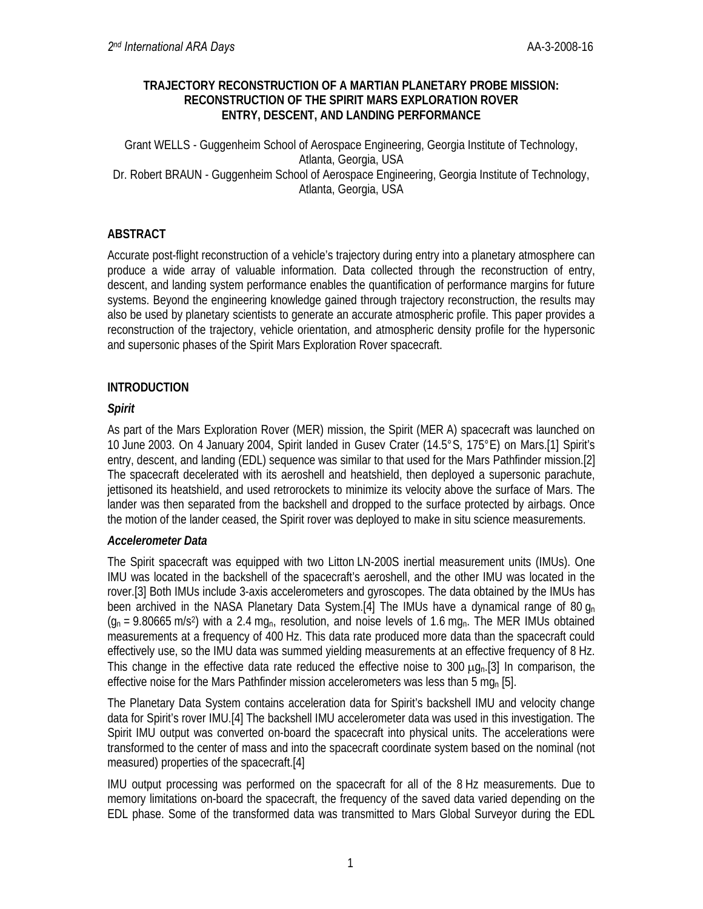### **TRAJECTORY RECONSTRUCTION OF A MARTIAN PLANETARY PROBE MISSION: RECONSTRUCTION OF THE SPIRIT MARS EXPLORATION ROVER ENTRY, DESCENT, AND LANDING PERFORMANCE**

Grant WELLS - Guggenheim School of Aerospace Engineering, Georgia Institute of Technology, Atlanta, Georgia, USA Dr. Robert BRAUN - Guggenheim School of Aerospace Engineering, Georgia Institute of Technology, Atlanta, Georgia, USA

# **ABSTRACT**

Accurate post-flight reconstruction of a vehicle's trajectory during entry into a planetary atmosphere can produce a wide array of valuable information. Data collected through the reconstruction of entry, descent, and landing system performance enables the quantification of performance margins for future systems. Beyond the engineering knowledge gained through trajectory reconstruction, the results may also be used by planetary scientists to generate an accurate atmospheric profile. This paper provides a reconstruction of the trajectory, vehicle orientation, and atmospheric density profile for the hypersonic and supersonic phases of the Spirit Mars Exploration Rover spacecraft.

# **INTRODUCTION**

# *Spirit*

As part of the Mars Exploration Rover (MER) mission, the Spirit (MER A) spacecraft was launched on 10 June 2003. On 4 January 2004, Spirit landed in Gusev Crater (14.5°S, 175°E) on Mars.[1] Spirit's entry, descent, and landing (EDL) sequence was similar to that used for the Mars Pathfinder mission.[2] The spacecraft decelerated with its aeroshell and heatshield, then deployed a supersonic parachute, jettisoned its heatshield, and used retrorockets to minimize its velocity above the surface of Mars. The lander was then separated from the backshell and dropped to the surface protected by airbags. Once the motion of the lander ceased, the Spirit rover was deployed to make in situ science measurements.

## *Accelerometer Data*

The Spirit spacecraft was equipped with two Litton LN-200S inertial measurement units (IMUs). One IMU was located in the backshell of the spacecraft's aeroshell, and the other IMU was located in the rover.[3] Both IMUs include 3-axis accelerometers and gyroscopes. The data obtained by the IMUs has been archived in the NASA Planetary Data System.[4] The IMUs have a dynamical range of 80  $q_n$  $(q_n = 9.80665 \text{ m/s}^2)$  with a 2.4 mg<sub>n</sub>, resolution, and noise levels of 1.6 mg<sub>n</sub>. The MER IMUs obtained measurements at a frequency of 400 Hz. This data rate produced more data than the spacecraft could effectively use, so the IMU data was summed yielding measurements at an effective frequency of 8 Hz. This change in the effective data rate reduced the effective noise to 300  $\mu q_{0}$ .[3] In comparison, the effective noise for the Mars Pathfinder mission accelerometers was less than 5 mg<sub>n</sub> [5].

The Planetary Data System contains acceleration data for Spirit's backshell IMU and velocity change data for Spirit's rover IMU.[4] The backshell IMU accelerometer data was used in this investigation. The Spirit IMU output was converted on-board the spacecraft into physical units. The accelerations were transformed to the center of mass and into the spacecraft coordinate system based on the nominal (not measured) properties of the spacecraft.[4]

IMU output processing was performed on the spacecraft for all of the 8 Hz measurements. Due to memory limitations on-board the spacecraft, the frequency of the saved data varied depending on the EDL phase. Some of the transformed data was transmitted to Mars Global Surveyor during the EDL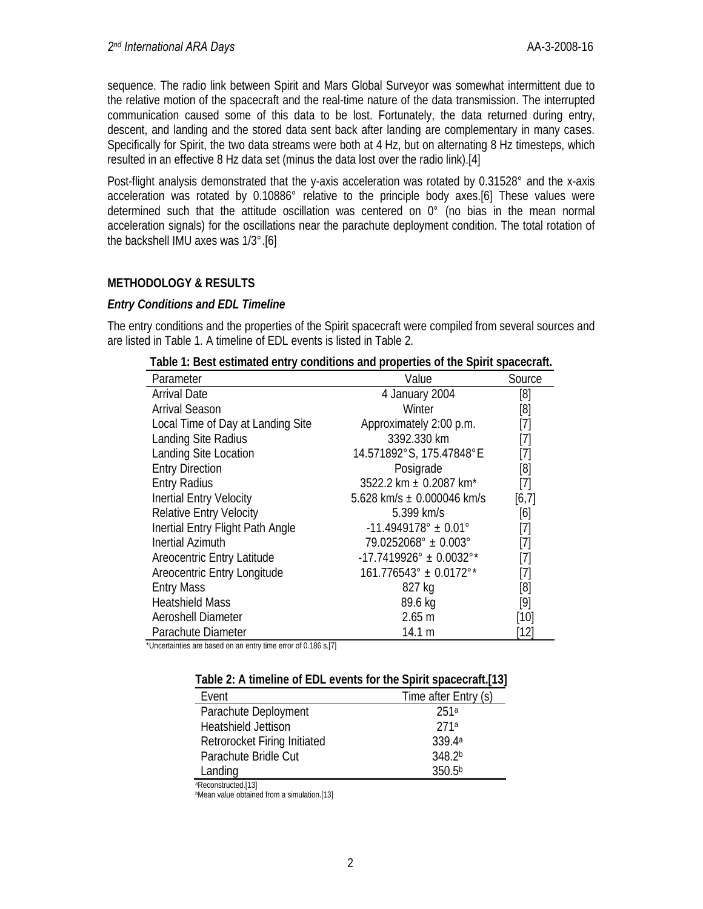sequence. The radio link between Spirit and Mars Global Surveyor was somewhat intermittent due to the relative motion of the spacecraft and the real-time nature of the data transmission. The interrupted communication caused some of this data to be lost. Fortunately, the data returned during entry, descent, and landing and the stored data sent back after landing are complementary in many cases. Specifically for Spirit, the two data streams were both at 4 Hz, but on alternating 8 Hz timesteps, which resulted in an effective 8 Hz data set (minus the data lost over the radio link).[4]

Post-flight analysis demonstrated that the y-axis acceleration was rotated by 0.31528° and the x-axis acceleration was rotated by 0.10886° relative to the principle body axes.[6] These values were determined such that the attitude oscillation was centered on 0° (no bias in the mean normal acceleration signals) for the oscillations near the parachute deployment condition. The total rotation of the backshell IMU axes was 1/3°.[6]

# **METHODOLOGY & RESULTS**

## *Entry Conditions and EDL Timeline*

The entry conditions and the properties of the Spirit spacecraft were compiled from several sources and are listed in Table 1. A timeline of EDL events is listed in Table 2.

| Parameter                         | Value                                     | Source                                                                                                                                                                              |
|-----------------------------------|-------------------------------------------|-------------------------------------------------------------------------------------------------------------------------------------------------------------------------------------|
| <b>Arrival Date</b>               | 4 January 2004                            | [8]                                                                                                                                                                                 |
| <b>Arrival Season</b>             | Winter                                    | [8]                                                                                                                                                                                 |
| Local Time of Day at Landing Site | Approximately 2:00 p.m.                   | [7]                                                                                                                                                                                 |
| Landing Site Radius               | 3392.330 km                               | [7]                                                                                                                                                                                 |
| Landing Site Location             | 14.571892°S, 175.47848°E                  | [7]                                                                                                                                                                                 |
| <b>Entry Direction</b>            | Posigrade                                 | [8]                                                                                                                                                                                 |
| <b>Entry Radius</b>               | 3522.2 km ± 0.2087 km <sup>*</sup>        | $[7] % \includegraphics[width=0.9\columnwidth]{figures/fig_10.pdf} \caption{The figure shows the number of parameters of the estimators in the left and right.} \label{fig:time} %$ |
| Inertial Entry Velocity           | 5.628 km/s $\pm$ 0.000046 km/s            | [6,7]                                                                                                                                                                               |
| <b>Relative Entry Velocity</b>    | 5.399 km/s                                | [6]                                                                                                                                                                                 |
| Inertial Entry Flight Path Angle  | $-11.4949178^{\circ} \pm 0.01^{\circ}$    | [7]                                                                                                                                                                                 |
| <b>Inertial Azimuth</b>           | $79.0252068^{\circ} \pm 0.003^{\circ}$    | [7]                                                                                                                                                                                 |
| Areocentric Entry Latitude        | $-17.7419926^{\circ} \pm 0.0032^{\circ*}$ | $\left[ 7\right]$                                                                                                                                                                   |
| Areocentric Entry Longitude       | $161.776543^{\circ} \pm 0.0172^{\circ*}$  | [7]                                                                                                                                                                                 |
| <b>Entry Mass</b>                 | 827 kg                                    | [8]                                                                                                                                                                                 |
| <b>Heatshield Mass</b>            | 89.6 kg                                   | [9]                                                                                                                                                                                 |
| Aeroshell Diameter                | 2.65 <sub>m</sub>                         | [10]                                                                                                                                                                                |
| Parachute Diameter                | 14.1 m                                    | [12]                                                                                                                                                                                |

| Table 1: Best estimated entry conditions and properties of the Spirit spacecraft. |
|-----------------------------------------------------------------------------------|
|-----------------------------------------------------------------------------------|

\*Uncertainties are based on an entry time error of 0.186 s.[7]

| Table 2. A timeline of EDE events for the Spirit spacecraft, 191 |                      |
|------------------------------------------------------------------|----------------------|
| Fvent                                                            | Time after Entry (s) |
| Parachute Deployment                                             | 251a                 |
| <b>Heatshield Jettison</b>                                       | 271a                 |
| Retrorocket Firing Initiated                                     | 339 4a               |

Parachute Bridle Cut 348.2b Landing 350.5<sup>b</sup>

aReconstructed.[13]

**Mean value obtained from a simulation.**[13]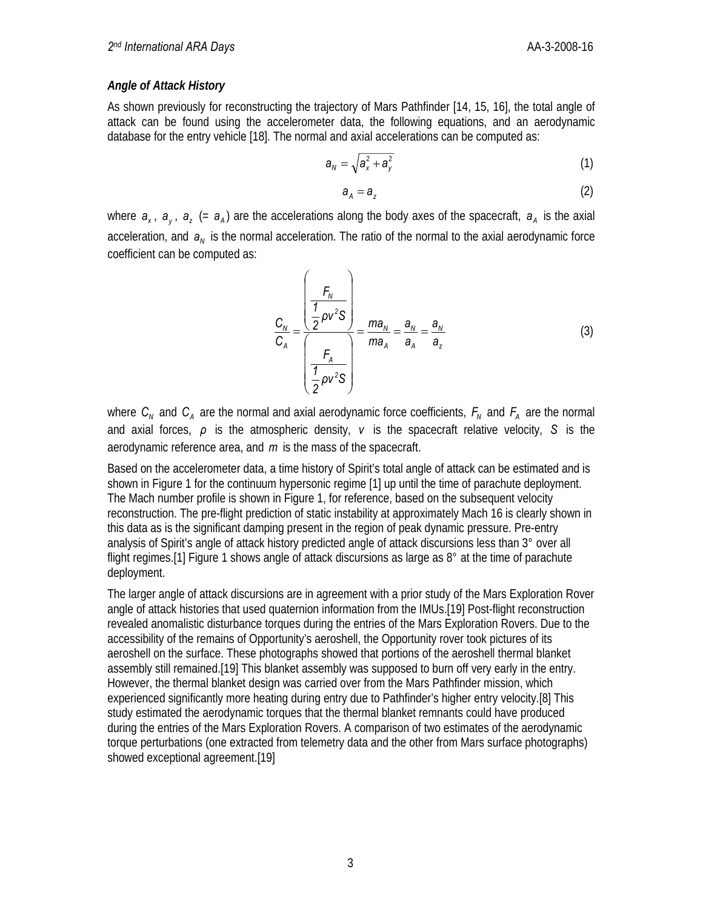#### *Angle of Attack History*

As shown previously for reconstructing the trajectory of Mars Pathfinder [14, 15, 16], the total angle of attack can be found using the accelerometer data, the following equations, and an aerodynamic database for the entry vehicle [18]. The normal and axial accelerations can be computed as:

$$
a_N = \sqrt{a_x^2 + a_y^2} \tag{1}
$$

$$
a_{A} = a_{Z} \tag{2}
$$

where  $a_x$ ,  $a_y$ ,  $a_z$  (=  $a_A$ ) are the accelerations along the body axes of the spacecraft,  $a_A$  is the axial acceleration, and  $a_N$  is the normal acceleration. The ratio of the normal to the axial aerodynamic force coefficient can be computed as:

$$
\frac{C_N}{C_A} = \frac{\left(\frac{F_N}{2}\rho v^2 S\right)}{\left(\frac{F_A}{2}\rho v^2 S\right)} = \frac{m a_N}{m a_A} = \frac{a_N}{a_A} = \frac{a_N}{a_z}
$$
(3)

where  $C_N$  and  $C_A$  are the normal and axial aerodynamic force coefficients,  $F_N$  and  $F_A$  are the normal and axial forces, *ρ* is the atmospheric density, *v* is the spacecraft relative velocity, *S* is the aerodynamic reference area, and *m* is the mass of the spacecraft.

Based on the accelerometer data, a time history of Spirit's total angle of attack can be estimated and is shown in Figure 1 for the continuum hypersonic regime [1] up until the time of parachute deployment. The Mach number profile is shown in Figure 1, for reference, based on the subsequent velocity reconstruction. The pre-flight prediction of static instability at approximately Mach 16 is clearly shown in this data as is the significant damping present in the region of peak dynamic pressure. Pre-entry analysis of Spirit's angle of attack history predicted angle of attack discursions less than 3° over all flight regimes.[1] Figure 1 shows angle of attack discursions as large as 8° at the time of parachute deployment.

The larger angle of attack discursions are in agreement with a prior study of the Mars Exploration Rover angle of attack histories that used quaternion information from the IMUs.[19] Post-flight reconstruction revealed anomalistic disturbance torques during the entries of the Mars Exploration Rovers. Due to the accessibility of the remains of Opportunity's aeroshell, the Opportunity rover took pictures of its aeroshell on the surface. These photographs showed that portions of the aeroshell thermal blanket assembly still remained.[19] This blanket assembly was supposed to burn off very early in the entry. However, the thermal blanket design was carried over from the Mars Pathfinder mission, which experienced significantly more heating during entry due to Pathfinder's higher entry velocity.[8] This study estimated the aerodynamic torques that the thermal blanket remnants could have produced during the entries of the Mars Exploration Rovers. A comparison of two estimates of the aerodynamic torque perturbations (one extracted from telemetry data and the other from Mars surface photographs) showed exceptional agreement.[19]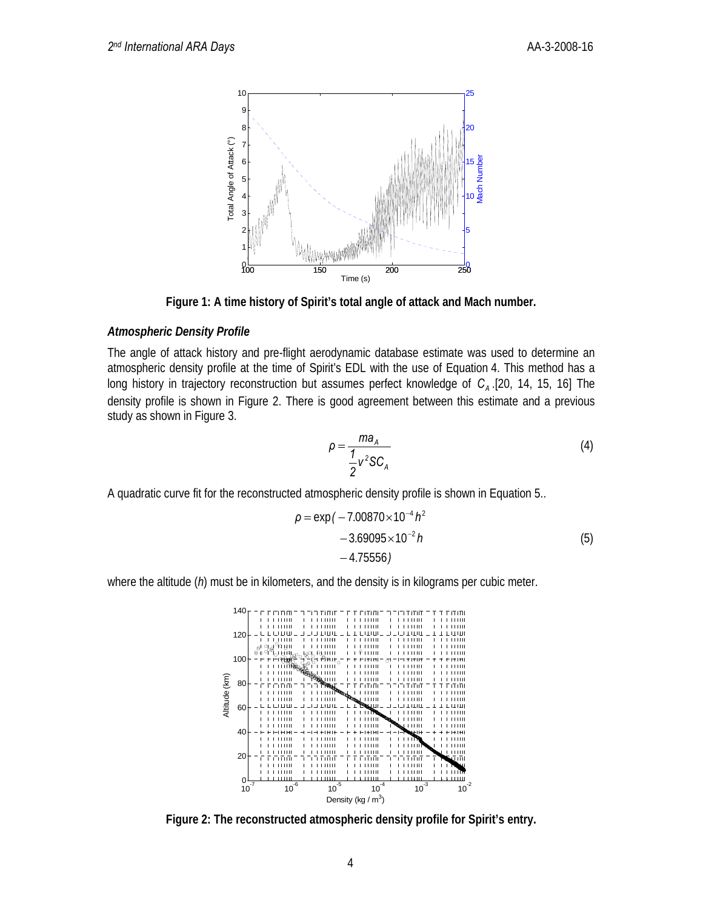

**Figure 1: A time history of Spirit's total angle of attack and Mach number.** 

## *Atmospheric Density Profile*

The angle of attack history and pre-flight aerodynamic database estimate was used to determine an atmospheric density profile at the time of Spirit's EDL with the use of Equation 4. This method has a long history in trajectory reconstruction but assumes perfect knowledge of C<sub>A</sub> .[20, 14, 15, 16] The density profile is shown in Figure 2. There is good agreement between this estimate and a previous study as shown in Figure 3.

$$
\rho = \frac{ma_A}{\frac{1}{2}v^2 SC_A}
$$
 (4)

A quadratic curve fit for the reconstructed atmospheric density profile is shown in Equation 5..

$$
\rho = \exp(-7.00870 \times 10^{-4} h^2 - 3.69095 \times 10^{-2} h - 4.75556)
$$
\n(5)

where the altitude (*h*) must be in kilometers, and the density is in kilograms per cubic meter.



**Figure 2: The reconstructed atmospheric density profile for Spirit's entry.**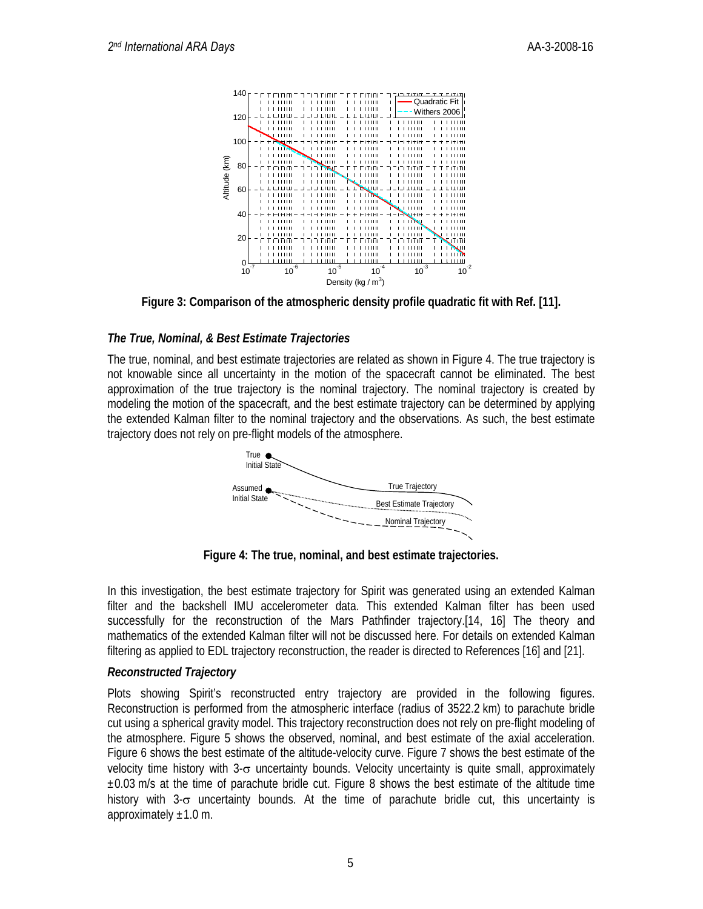

**Figure 3: Comparison of the atmospheric density profile quadratic fit with Ref. [11].** 

### *The True, Nominal, & Best Estimate Trajectories*

The true, nominal, and best estimate trajectories are related as shown in Figure 4. The true trajectory is not knowable since all uncertainty in the motion of the spacecraft cannot be eliminated. The best approximation of the true trajectory is the nominal trajectory. The nominal trajectory is created by modeling the motion of the spacecraft, and the best estimate trajectory can be determined by applying the extended Kalman filter to the nominal trajectory and the observations. As such, the best estimate trajectory does not rely on pre-flight models of the atmosphere.



**Figure 4: The true, nominal, and best estimate trajectories.** 

In this investigation, the best estimate trajectory for Spirit was generated using an extended Kalman filter and the backshell IMU accelerometer data. This extended Kalman filter has been used successfully for the reconstruction of the Mars Pathfinder trajectory.[14, 16] The theory and mathematics of the extended Kalman filter will not be discussed here. For details on extended Kalman filtering as applied to EDL trajectory reconstruction, the reader is directed to References [16] and [21].

## *Reconstructed Trajectory*

Plots showing Spirit's reconstructed entry trajectory are provided in the following figures. Reconstruction is performed from the atmospheric interface (radius of 3522.2 km) to parachute bridle cut using a spherical gravity model. This trajectory reconstruction does not rely on pre-flight modeling of the atmosphere. Figure 5 shows the observed, nominal, and best estimate of the axial acceleration. Figure 6 shows the best estimate of the altitude-velocity curve. Figure 7 shows the best estimate of the velocity time history with 3-σ uncertainty bounds. Velocity uncertainty is quite small, approximately  $\pm 0.03$  m/s at the time of parachute bridle cut. Figure 8 shows the best estimate of the altitude time history with 3-σ uncertainty bounds. At the time of parachute bridle cut, this uncertainty is approximately  $\pm 1.0$  m.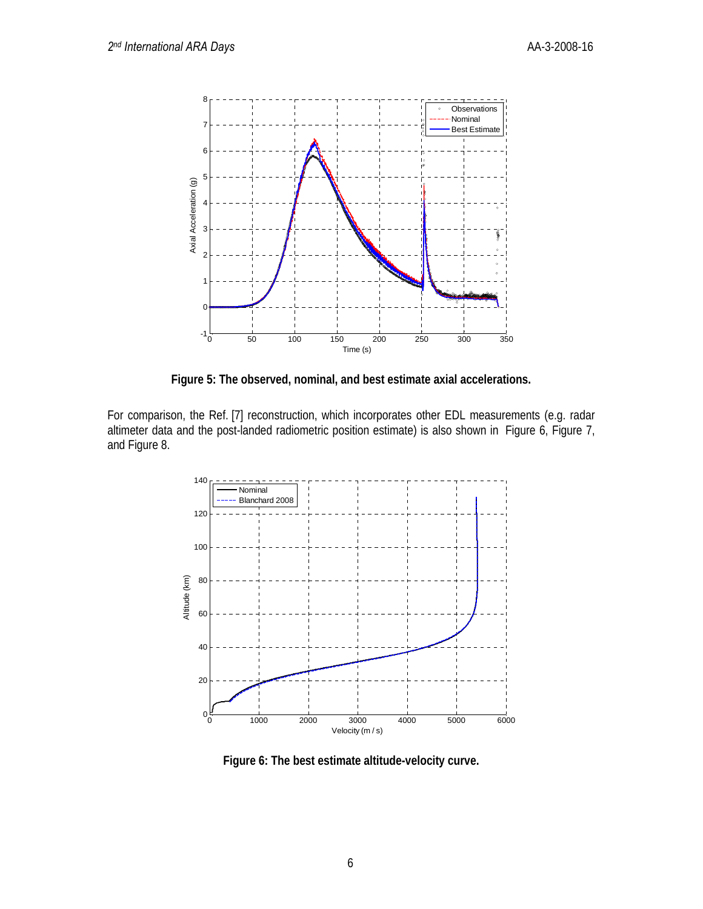

**Figure 5: The observed, nominal, and best estimate axial accelerations.** 

For comparison, the Ref. [7] reconstruction, which incorporates other EDL measurements (e.g. radar altimeter data and the post-landed radiometric position estimate) is also shown in Figure 6, Figure 7, and Figure 8.



**Figure 6: The best estimate altitude-velocity curve.**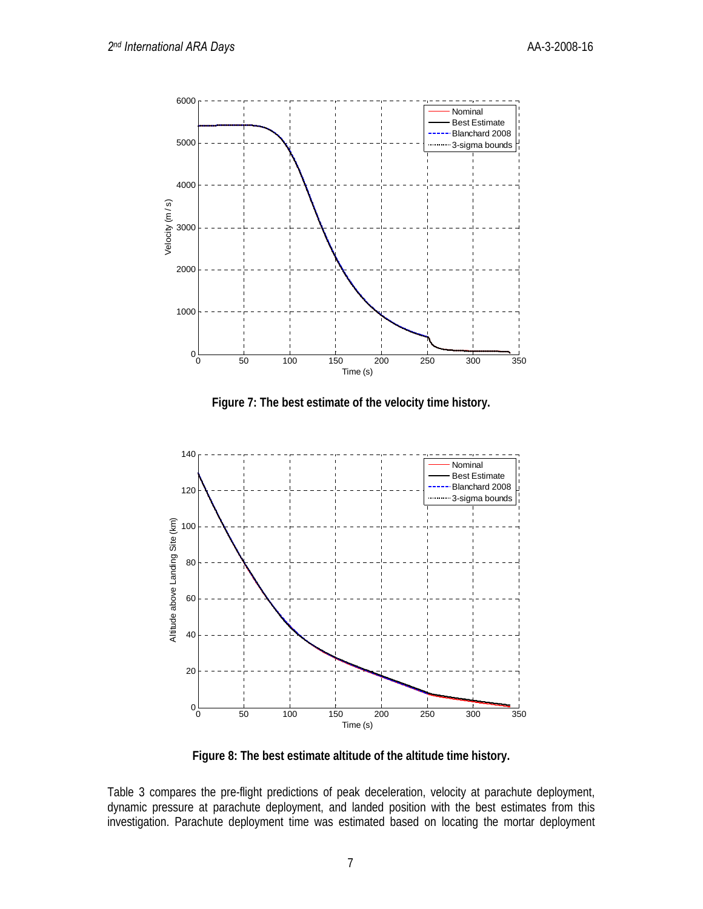

**Figure 7: The best estimate of the velocity time history.** 



**Figure 8: The best estimate altitude of the altitude time history.** 

Table 3 compares the pre-flight predictions of peak deceleration, velocity at parachute deployment, dynamic pressure at parachute deployment, and landed position with the best estimates from this investigation. Parachute deployment time was estimated based on locating the mortar deployment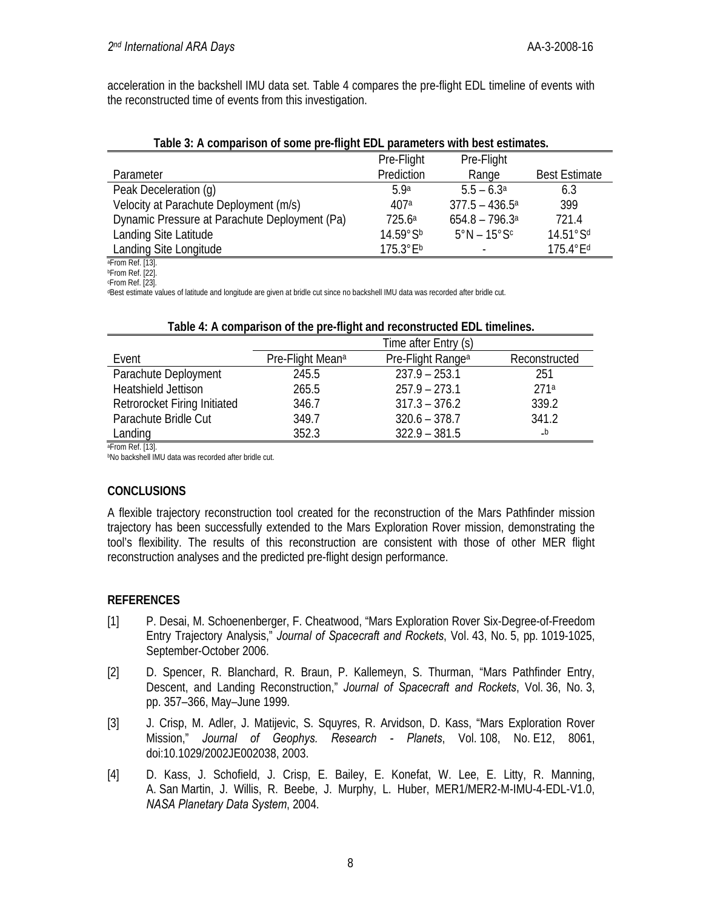acceleration in the backshell IMU data set. Table 4 compares the pre-flight EDL timeline of events with the reconstructed time of events from this investigation.

|  | Table 3: A comparison of some pre-flight EDL parameters with best estimates. |  |
|--|------------------------------------------------------------------------------|--|
|  |                                                                              |  |

|                                               | Pre-Flight         | Pre-Flight                   |                         |
|-----------------------------------------------|--------------------|------------------------------|-------------------------|
| Parameter                                     | Prediction         | Range                        | <b>Best Estimate</b>    |
| Peak Deceleration (q)                         | 5.9a               | $5.5 - 6.3^{\circ}$          | 6.3                     |
| Velocity at Parachute Deployment (m/s)        | 407a               | $377.5 - 436.5^{\circ}$      | 399                     |
| Dynamic Pressure at Parachute Deployment (Pa) | 725.6a             | $654.8 - 796.3$ <sup>a</sup> | 721.4                   |
| Landing Site Latitude                         | 14.59°Sb           | $5^\circ$ N – 15 $^\circ$ Sc | 14.51°Sd                |
| Landing Site Longitude                        | $175.3^{\circ}E^b$ |                              | $175.4$ °E <sup>d</sup> |

aFrom Ref. [13].

**bFrom Ref.** [22]. cFrom Ref. [23].

dBest estimate values of latitude and longitude are given at bridle cut since no backshell IMU data was recorded after bridle cut.

|                              |                              | Time after Entry (s)          |               |
|------------------------------|------------------------------|-------------------------------|---------------|
| Event                        | Pre-Flight Mean <sup>a</sup> | Pre-Flight Range <sup>a</sup> | Reconstructed |
| Parachute Deployment         | 245.5                        | $237.9 - 253.1$               | 251           |
| Heatshield Jettison          | 265.5                        | $257.9 - 273.1$               | 271a          |
| Retrorocket Firing Initiated | 346.7                        | $317.3 - 376.2$               | 339.2         |
| Parachute Bridle Cut         | 349.7                        | $320.6 - 378.7$               | 341.2         |
| Landing                      | 352.3                        | $322.9 - 381.5$               | $-b$          |

#### **Table 4: A comparison of the pre-flight and reconstructed EDL timelines.**

aFrom Ref. [13].

**bNo backshell IMU data was recorded after bridle cut.** 

# **CONCLUSIONS**

A flexible trajectory reconstruction tool created for the reconstruction of the Mars Pathfinder mission trajectory has been successfully extended to the Mars Exploration Rover mission, demonstrating the tool's flexibility. The results of this reconstruction are consistent with those of other MER flight reconstruction analyses and the predicted pre-flight design performance.

## **REFERENCES**

- [1] P. Desai, M. Schoenenberger, F. Cheatwood, "Mars Exploration Rover Six-Degree-of-Freedom Entry Trajectory Analysis," *Journal of Spacecraft and Rockets*, Vol. 43, No. 5, pp. 1019-1025, September-October 2006.
- [2] D. Spencer, R. Blanchard, R. Braun, P. Kallemeyn, S. Thurman, "Mars Pathfinder Entry, Descent, and Landing Reconstruction," *Journal of Spacecraft and Rockets*, Vol. 36, No. 3, pp. 357–366, May–June 1999.
- [3] J. Crisp, M. Adler, J. Matijevic, S. Squyres, R. Arvidson, D. Kass, "Mars Exploration Rover Mission," *Journal of Geophys. Research - Planets*, Vol. 108, No. E12, 8061, doi:10.1029/2002JE002038, 2003.
- [4] D. Kass, J. Schofield, J. Crisp, E. Bailey, E. Konefat, W. Lee, E. Litty, R. Manning, A. San Martin, J. Willis, R. Beebe, J. Murphy, L. Huber, MER1/MER2-M-IMU-4-EDL-V1.0, *NASA Planetary Data System*, 2004.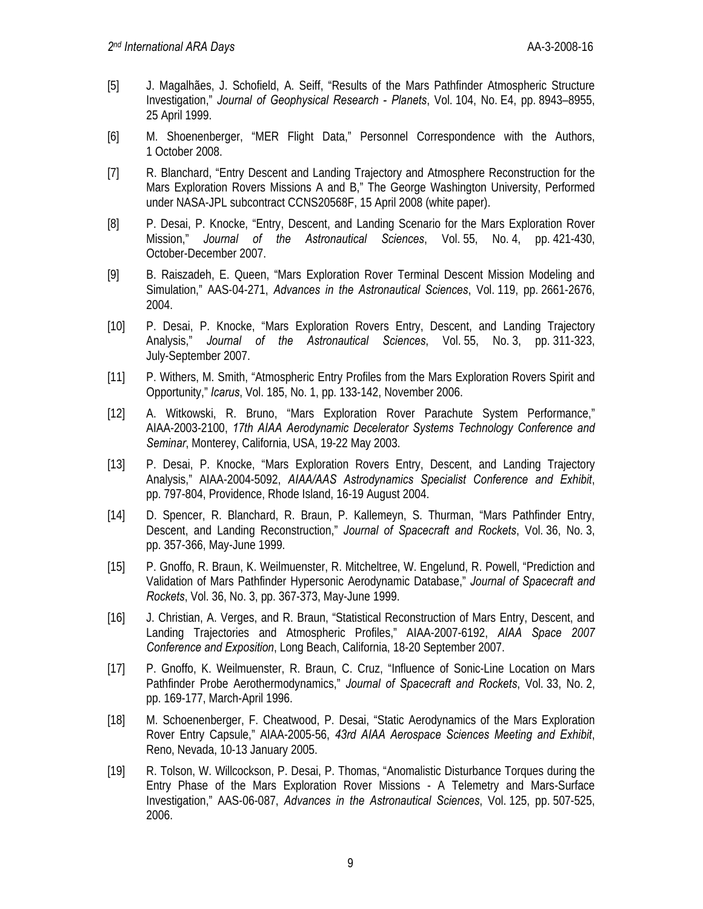- [5] J. Magalhães, J. Schofield, A. Seiff, "Results of the Mars Pathfinder Atmospheric Structure Investigation," *Journal of Geophysical Research - Planets*, Vol. 104, No. E4, pp. 8943–8955, 25 April 1999.
- [6] M. Shoenenberger, "MER Flight Data," Personnel Correspondence with the Authors, 1 October 2008.
- [7] R. Blanchard, "Entry Descent and Landing Trajectory and Atmosphere Reconstruction for the Mars Exploration Rovers Missions A and B," The George Washington University, Performed under NASA-JPL subcontract CCNS20568F, 15 April 2008 (white paper).
- [8] P. Desai, P. Knocke, "Entry, Descent, and Landing Scenario for the Mars Exploration Rover Mission," *Journal of the Astronautical Sciences*, Vol. 55, No. 4, pp. 421-430, October-December 2007.
- [9] B. Raiszadeh, E. Queen, "Mars Exploration Rover Terminal Descent Mission Modeling and Simulation," AAS-04-271, *Advances in the Astronautical Sciences*, Vol. 119, pp. 2661-2676, 2004.
- [10] P. Desai, P. Knocke, "Mars Exploration Rovers Entry, Descent, and Landing Trajectory Analysis," *Journal of the Astronautical Sciences*, Vol. 55, No. 3, pp. 311-323, July-September 2007.
- [11] P. Withers, M. Smith, "Atmospheric Entry Profiles from the Mars Exploration Rovers Spirit and Opportunity," *Icarus*, Vol. 185, No. 1, pp. 133-142, November 2006.
- [12] A. Witkowski, R. Bruno, "Mars Exploration Rover Parachute System Performance," AIAA-2003-2100, *17th AIAA Aerodynamic Decelerator Systems Technology Conference and Seminar*, Monterey, California, USA, 19-22 May 2003.
- [13] P. Desai, P. Knocke, "Mars Exploration Rovers Entry, Descent, and Landing Trajectory Analysis," AIAA-2004-5092, *AIAA/AAS Astrodynamics Specialist Conference and Exhibit*, pp. 797-804, Providence, Rhode Island, 16-19 August 2004.
- [14] D. Spencer, R. Blanchard, R. Braun, P. Kallemeyn, S. Thurman, "Mars Pathfinder Entry, Descent, and Landing Reconstruction," *Journal of Spacecraft and Rockets*, Vol. 36, No. 3, pp. 357-366, May-June 1999.
- [15] P. Gnoffo, R. Braun, K. Weilmuenster, R. Mitcheltree, W. Engelund, R. Powell, "Prediction and Validation of Mars Pathfinder Hypersonic Aerodynamic Database," *Journal of Spacecraft and Rockets*, Vol. 36, No. 3, pp. 367-373, May-June 1999.
- [16] J. Christian, A. Verges, and R. Braun, "Statistical Reconstruction of Mars Entry, Descent, and Landing Trajectories and Atmospheric Profiles," AIAA-2007-6192, *AIAA Space 2007 Conference and Exposition*, Long Beach, California, 18-20 September 2007.
- [17] P. Gnoffo, K. Weilmuenster, R. Braun, C. Cruz, "Influence of Sonic-Line Location on Mars Pathfinder Probe Aerothermodynamics," *Journal of Spacecraft and Rockets*, Vol. 33, No. 2, pp. 169-177, March-April 1996.
- [18] M. Schoenenberger, F. Cheatwood, P. Desai, "Static Aerodynamics of the Mars Exploration Rover Entry Capsule," AIAA-2005-56, *43rd AIAA Aerospace Sciences Meeting and Exhibit*, Reno, Nevada, 10-13 January 2005.
- [19] R. Tolson, W. Willcockson, P. Desai, P. Thomas, "Anomalistic Disturbance Torques during the Entry Phase of the Mars Exploration Rover Missions - A Telemetry and Mars-Surface Investigation," AAS-06-087, *Advances in the Astronautical Sciences*, Vol. 125, pp. 507-525, 2006.